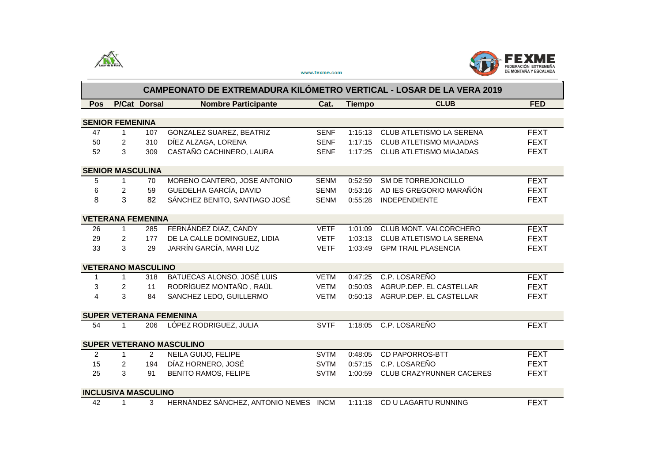



www.fexme.com

|                                 | CAMPEONATO DE EXTREMADURA KILÓMETRO VERTICAL - LOSAR DE LA VERA 2019 |                            |                                       |             |               |                                 |             |  |  |
|---------------------------------|----------------------------------------------------------------------|----------------------------|---------------------------------------|-------------|---------------|---------------------------------|-------------|--|--|
| Pos                             |                                                                      | P/Cat Dorsal               | <b>Nombre Participante</b>            | Cat.        | <b>Tiempo</b> | <b>CLUB</b>                     | <b>FED</b>  |  |  |
|                                 |                                                                      |                            |                                       |             |               |                                 |             |  |  |
| <b>SENIOR FEMENINA</b>          |                                                                      |                            |                                       |             |               |                                 |             |  |  |
| 47                              | 1                                                                    | 107                        | GONZALEZ SUAREZ, BEATRIZ              | <b>SENF</b> | 1:15:13       | CLUB ATLETISMO LA SERENA        | <b>FEXT</b> |  |  |
| 50                              | 2                                                                    | 310                        | DÍEZ ALZAGA, LORENA                   | <b>SENF</b> | 1:17:15       | <b>CLUB ATLETISMO MIAJADAS</b>  | <b>FEXT</b> |  |  |
| 52                              | 3                                                                    | 309                        | CASTAÑO CACHINERO, LAURA              | <b>SENF</b> | 1:17:25       | <b>CLUB ATLETISMO MIAJADAS</b>  | <b>FEXT</b> |  |  |
|                                 | <b>SENIOR MASCULINA</b>                                              |                            |                                       |             |               |                                 |             |  |  |
| 5                               | 1                                                                    | 70                         | MORENO CANTERO, JOSE ANTONIO          | <b>SENM</b> | 0:52:59       | SM DE TORREJONCILLO             | <b>FEXT</b> |  |  |
| 6                               | $\overline{2}$                                                       | 59                         | GUEDELHA GARCÍA, DAVID                | <b>SENM</b> | 0:53:16       | AD IES GREGORIO MARAÑÓN         | <b>FEXT</b> |  |  |
| 8                               | 3                                                                    | 82                         | SÁNCHEZ BENITO, SANTIAGO JOSÉ         | <b>SENM</b> | 0:55:28       | <b>INDEPENDIENTE</b>            | <b>FEXT</b> |  |  |
|                                 |                                                                      |                            |                                       |             |               |                                 |             |  |  |
|                                 |                                                                      | <b>VETERANA FEMENINA</b>   |                                       |             |               |                                 |             |  |  |
| 26                              | $\mathbf{1}$                                                         | 285                        | FERNÁNDEZ DIAZ, CANDY                 | <b>VETF</b> | 1:01:09       | CLUB MONT. VALCORCHERO          | <b>FEXT</b> |  |  |
| 29                              | $\overline{2}$                                                       | 177                        | DE LA CALLE DOMINGUEZ, LIDIA          | <b>VETF</b> | 1:03:13       | CLUB ATLETISMO LA SERENA        | <b>FEXT</b> |  |  |
| 33                              | 3                                                                    | 29                         | JARRÍN GARCÍA, MARI LUZ               | <b>VETF</b> | 1:03:49       | <b>GPM TRAIL PLASENCIA</b>      | <b>FEXT</b> |  |  |
|                                 |                                                                      | <b>VETERANO MASCULINO</b>  |                                       |             |               |                                 |             |  |  |
| 1                               | 1                                                                    | 318                        | BATUECAS ALONSO, JOSÉ LUIS            | <b>VETM</b> | 0:47:25       | C.P. LOSAREÑO                   | <b>FEXT</b> |  |  |
| 3                               | $\overline{2}$                                                       | 11                         | RODRÍGUEZ MONTAÑO, RAÚL               | <b>VETM</b> | 0:50:03       | AGRUP.DEP. EL CASTELLAR         | <b>FEXT</b> |  |  |
| $\overline{\mathbf{4}}$         | 3                                                                    | 84                         | SANCHEZ LEDO, GUILLERMO               | <b>VETM</b> | 0:50:13       | AGRUP.DEP. EL CASTELLAR         | <b>FEXT</b> |  |  |
|                                 |                                                                      |                            | <b>SUPER VETERANA FEMENINA</b>        |             |               |                                 |             |  |  |
|                                 | $\mathbf{1}$                                                         |                            | LÓPEZ RODRIGUEZ, JULIA                | <b>SVTF</b> | 1:18:05       | C.P. LOSAREÑO                   | <b>FEXT</b> |  |  |
| 54                              |                                                                      | 206                        |                                       |             |               |                                 |             |  |  |
| <b>SUPER VETERANO MASCULINO</b> |                                                                      |                            |                                       |             |               |                                 |             |  |  |
| $\overline{2}$                  | 1                                                                    | 2                          | NEILA GUIJO, FELIPE                   | <b>SVTM</b> | 0:48:05       | <b>CD PAPORROS-BTT</b>          | <b>FEXT</b> |  |  |
| 15                              | $\overline{2}$                                                       | 194                        | DÍAZ HORNERO, JOSÉ                    | <b>SVTM</b> | 0:57:15       | C.P. LOSAREÑO                   | <b>FEXT</b> |  |  |
| 25                              | 3                                                                    | 91                         | <b>BENITO RAMOS, FELIPE</b>           | <b>SVTM</b> | 1:00:59       | <b>CLUB CRAZYRUNNER CACERES</b> | <b>FEXT</b> |  |  |
|                                 |                                                                      | <b>INCLUSIVA MASCULINO</b> |                                       |             |               |                                 |             |  |  |
| 42                              | 1                                                                    | 3                          | HERNÁNDEZ SÁNCHEZ, ANTONIO NEMES INCM |             | 1:11:18       | CD U LAGARTU RUNNING            | <b>FEXT</b> |  |  |
|                                 |                                                                      |                            |                                       |             |               |                                 |             |  |  |